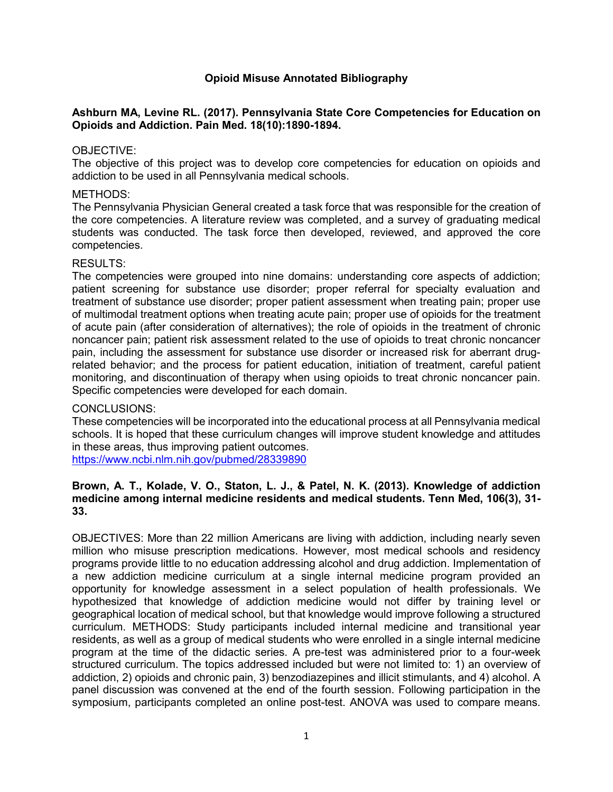# **Opioid Misuse Annotated Bibliography**

## **Ashburn MA, Levine RL. (2017). Pennsylvania State Core Competencies for Education on Opioids and Addiction. Pain Med. 18(10):1890-1894.**

#### OBJECTIVE:

The objective of this project was to develop core competencies for education on opioids and addiction to be used in all Pennsylvania medical schools.

#### METHODS:

The Pennsylvania Physician General created a task force that was responsible for the creation of the core competencies. A literature review was completed, and a survey of graduating medical students was conducted. The task force then developed, reviewed, and approved the core competencies.

#### RESULTS:

The competencies were grouped into nine domains: understanding core aspects of addiction; patient screening for substance use disorder; proper referral for specialty evaluation and treatment of substance use disorder; proper patient assessment when treating pain; proper use of multimodal treatment options when treating acute pain; proper use of opioids for the treatment of acute pain (after consideration of alternatives); the role of opioids in the treatment of chronic noncancer pain; patient risk assessment related to the use of opioids to treat chronic noncancer pain, including the assessment for substance use disorder or increased risk for aberrant drugrelated behavior; and the process for patient education, initiation of treatment, careful patient monitoring, and discontinuation of therapy when using opioids to treat chronic noncancer pain. Specific competencies were developed for each domain.

#### CONCLUSIONS:

These competencies will be incorporated into the educational process at all Pennsylvania medical schools. It is hoped that these curriculum changes will improve student knowledge and attitudes in these areas, thus improving patient outcomes.

<https://www.ncbi.nlm.nih.gov/pubmed/28339890>

## **Brown, A. T., Kolade, V. O., Staton, L. J., & Patel, N. K. (2013). Knowledge of addiction medicine among internal medicine residents and medical students. Tenn Med, 106(3), 31- 33.**

OBJECTIVES: More than 22 million Americans are living with addiction, including nearly seven million who misuse prescription medications. However, most medical schools and residency programs provide little to no education addressing alcohol and drug addiction. Implementation of a new addiction medicine curriculum at a single internal medicine program provided an opportunity for knowledge assessment in a select population of health professionals. We hypothesized that knowledge of addiction medicine would not differ by training level or geographical location of medical school, but that knowledge would improve following a structured curriculum. METHODS: Study participants included internal medicine and transitional year residents, as well as a group of medical students who were enrolled in a single internal medicine program at the time of the didactic series. A pre-test was administered prior to a four-week structured curriculum. The topics addressed included but were not limited to: 1) an overview of addiction, 2) opioids and chronic pain, 3) benzodiazepines and illicit stimulants, and 4) alcohol. A panel discussion was convened at the end of the fourth session. Following participation in the symposium, participants completed an online post-test. ANOVA was used to compare means.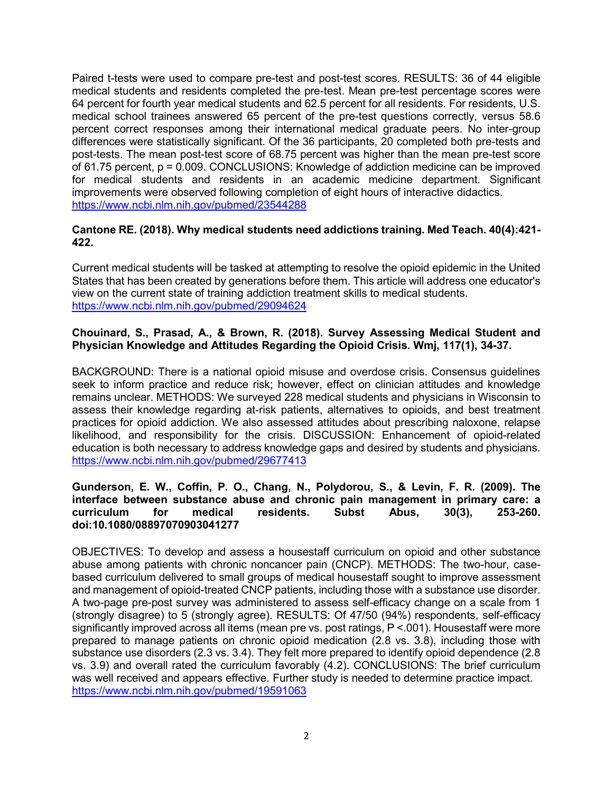Paired t-tests were used to compare pre-test and post-test scores. RESULTS: 36 of 44 eligible medical students and residents completed the pre-test. Mean pre-test percentage scores were 64 percent for fourth year medical students and 62.5 percent for all residents. For residents, U.S. medical school trainees answered 65 percent of the pre-test questions correctly, versus 58.6 percent correct responses among their international medical graduate peers. No inter-group differences were statistically significant. Of the 36 participants, 20 completed both pre-tests and post-tests. The mean post-test score of 68.75 percent was higher than the mean pre-test score of 61.75 percent, p = 0.009. CONCLUSIONS: Knowledge of addiction medicine can be improved for medical students and residents in an academic medicine department. Significant improvements were observed following completion of eight hours of interactive didactics. <https://www.ncbi.nlm.nih.gov/pubmed/23544288>

## **Cantone RE. (2018). Why medical students need addictions training. Med Teach. 40(4):421- 422.**

Current medical students will be tasked at attempting to resolve the opioid epidemic in the United States that has been created by generations before them. This article will address one educator's view on the current state of training addiction treatment skills to medical students. <https://www.ncbi.nlm.nih.gov/pubmed/29094624>

## **Chouinard, S., Prasad, A., & Brown, R. (2018). Survey Assessing Medical Student and Physician Knowledge and Attitudes Regarding the Opioid Crisis. Wmj, 117(1), 34-37.**

BACKGROUND: There is a national opioid misuse and overdose crisis. Consensus guidelines seek to inform practice and reduce risk; however, effect on clinician attitudes and knowledge remains unclear. METHODS: We surveyed 228 medical students and physicians in Wisconsin to assess their knowledge regarding at-risk patients, alternatives to opioids, and best treatment practices for opioid addiction. We also assessed attitudes about prescribing naloxone, relapse likelihood, and responsibility for the crisis. DISCUSSION: Enhancement of opioid-related education is both necessary to address knowledge gaps and desired by students and physicians. <https://www.ncbi.nlm.nih.gov/pubmed/29677413>

## **Gunderson, E. W., Coffin, P. O., Chang, N., Polydorou, S., & Levin, F. R. (2009). The interface between substance abuse and chronic pain management in primary care: a curriculum for medical residents. Subst Abus, 30(3), 253-260. doi:10.1080/08897070903041277**

OBJECTIVES: To develop and assess a housestaff curriculum on opioid and other substance abuse among patients with chronic noncancer pain (CNCP). METHODS: The two-hour, casebased curriculum delivered to small groups of medical housestaff sought to improve assessment and management of opioid-treated CNCP patients, including those with a substance use disorder. A two-page pre-post survey was administered to assess self-efficacy change on a scale from 1 (strongly disagree) to 5 (strongly agree). RESULTS: Of 47/50 (94%) respondents, self-efficacy significantly improved across all items (mean pre vs. post ratings, P <.001). Housestaff were more prepared to manage patients on chronic opioid medication (2.8 vs. 3.8), including those with substance use disorders (2.3 vs. 3.4). They felt more prepared to identify opioid dependence (2.8 vs. 3.9) and overall rated the curriculum favorably (4.2). CONCLUSIONS: The brief curriculum was well received and appears effective. Further study is needed to determine practice impact. <https://www.ncbi.nlm.nih.gov/pubmed/19591063>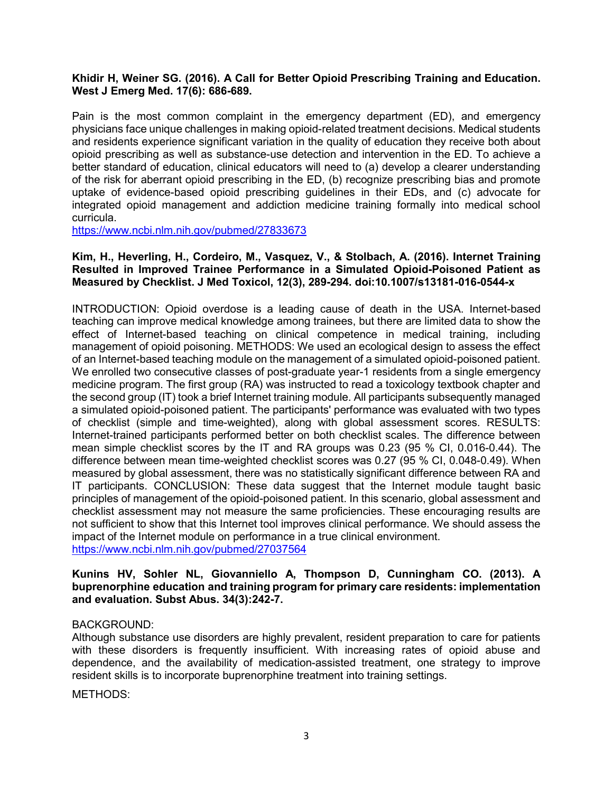## **Khidir H, Weiner SG. (2016). A Call for Better Opioid Prescribing Training and Education. West J Emerg Med. 17(6): 686-689.**

Pain is the most common complaint in the emergency department (ED), and emergency physicians face unique challenges in making opioid-related treatment decisions. Medical students and residents experience significant variation in the quality of education they receive both about opioid prescribing as well as substance-use detection and intervention in the ED. To achieve a better standard of education, clinical educators will need to (a) develop a clearer understanding of the risk for aberrant opioid prescribing in the ED, (b) recognize prescribing bias and promote uptake of evidence-based opioid prescribing guidelines in their EDs, and (c) advocate for integrated opioid management and addiction medicine training formally into medical school curricula.

<https://www.ncbi.nlm.nih.gov/pubmed/27833673>

### **Kim, H., Heverling, H., Cordeiro, M., Vasquez, V., & Stolbach, A. (2016). Internet Training Resulted in Improved Trainee Performance in a Simulated Opioid-Poisoned Patient as Measured by Checklist. J Med Toxicol, 12(3), 289-294. doi:10.1007/s13181-016-0544-x**

INTRODUCTION: Opioid overdose is a leading cause of death in the USA. Internet-based teaching can improve medical knowledge among trainees, but there are limited data to show the effect of Internet-based teaching on clinical competence in medical training, including management of opioid poisoning. METHODS: We used an ecological design to assess the effect of an Internet-based teaching module on the management of a simulated opioid-poisoned patient. We enrolled two consecutive classes of post-graduate year-1 residents from a single emergency medicine program. The first group (RA) was instructed to read a toxicology textbook chapter and the second group (IT) took a brief Internet training module. All participants subsequently managed a simulated opioid-poisoned patient. The participants' performance was evaluated with two types of checklist (simple and time-weighted), along with global assessment scores. RESULTS: Internet-trained participants performed better on both checklist scales. The difference between mean simple checklist scores by the IT and RA groups was 0.23 (95 % CI, 0.016-0.44). The difference between mean time-weighted checklist scores was 0.27 (95 % CI, 0.048-0.49). When measured by global assessment, there was no statistically significant difference between RA and IT participants. CONCLUSION: These data suggest that the Internet module taught basic principles of management of the opioid-poisoned patient. In this scenario, global assessment and checklist assessment may not measure the same proficiencies. These encouraging results are not sufficient to show that this Internet tool improves clinical performance. We should assess the impact of the Internet module on performance in a true clinical environment. <https://www.ncbi.nlm.nih.gov/pubmed/27037564>

#### **Kunins HV, Sohler NL, Giovanniello A, Thompson D, Cunningham CO. (2013). A buprenorphine education and training program for primary care residents: implementation and evaluation. Subst Abus. 34(3):242-7.**

## BACKGROUND:

Although substance use disorders are highly prevalent, resident preparation to care for patients with these disorders is frequently insufficient. With increasing rates of opioid abuse and dependence, and the availability of medication-assisted treatment, one strategy to improve resident skills is to incorporate buprenorphine treatment into training settings.

METHODS: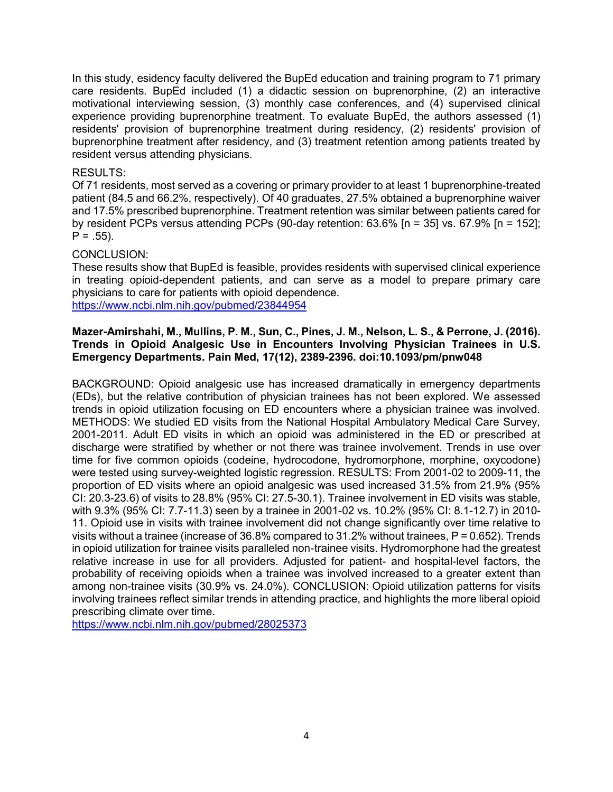In this study, esidency faculty delivered the BupEd education and training program to 71 primary care residents. BupEd included (1) a didactic session on buprenorphine, (2) an interactive motivational interviewing session, (3) monthly case conferences, and (4) supervised clinical experience providing buprenorphine treatment. To evaluate BupEd, the authors assessed (1) residents' provision of buprenorphine treatment during residency, (2) residents' provision of buprenorphine treatment after residency, and (3) treatment retention among patients treated by resident versus attending physicians.

## RESULTS:

Of 71 residents, most served as a covering or primary provider to at least 1 buprenorphine-treated patient (84.5 and 66.2%, respectively). Of 40 graduates, 27.5% obtained a buprenorphine waiver and 17.5% prescribed buprenorphine. Treatment retention was similar between patients cared for by resident PCPs versus attending PCPs (90-day retention: 63.6% [n = 35] vs. 67.9% [n = 152];  $P = .55$ ).

## CONCLUSION:

These results show that BupEd is feasible, provides residents with supervised clinical experience in treating opioid-dependent patients, and can serve as a model to prepare primary care physicians to care for patients with opioid dependence. <https://www.ncbi.nlm.nih.gov/pubmed/23844954>

#### **Mazer-Amirshahi, M., Mullins, P. M., Sun, C., Pines, J. M., Nelson, L. S., & Perrone, J. (2016). Trends in Opioid Analgesic Use in Encounters Involving Physician Trainees in U.S. Emergency Departments. Pain Med, 17(12), 2389-2396. doi:10.1093/pm/pnw048**

BACKGROUND: Opioid analgesic use has increased dramatically in emergency departments (EDs), but the relative contribution of physician trainees has not been explored. We assessed trends in opioid utilization focusing on ED encounters where a physician trainee was involved. METHODS: We studied ED visits from the National Hospital Ambulatory Medical Care Survey, 2001-2011. Adult ED visits in which an opioid was administered in the ED or prescribed at discharge were stratified by whether or not there was trainee involvement. Trends in use over time for five common opioids (codeine, hydrocodone, hydromorphone, morphine, oxycodone) were tested using survey-weighted logistic regression. RESULTS: From 2001-02 to 2009-11, the proportion of ED visits where an opioid analgesic was used increased 31.5% from 21.9% (95% CI: 20.3-23.6) of visits to 28.8% (95% CI: 27.5-30.1). Trainee involvement in ED visits was stable, with 9.3% (95% CI: 7.7-11.3) seen by a trainee in 2001-02 vs. 10.2% (95% CI: 8.1-12.7) in 2010- 11. Opioid use in visits with trainee involvement did not change significantly over time relative to visits without a trainee (increase of 36.8% compared to 31.2% without trainees, P = 0.652). Trends in opioid utilization for trainee visits paralleled non-trainee visits. Hydromorphone had the greatest relative increase in use for all providers. Adjusted for patient- and hospital-level factors, the probability of receiving opioids when a trainee was involved increased to a greater extent than among non-trainee visits (30.9% vs. 24.0%). CONCLUSION: Opioid utilization patterns for visits involving trainees reflect similar trends in attending practice, and highlights the more liberal opioid prescribing climate over time.

<https://www.ncbi.nlm.nih.gov/pubmed/28025373>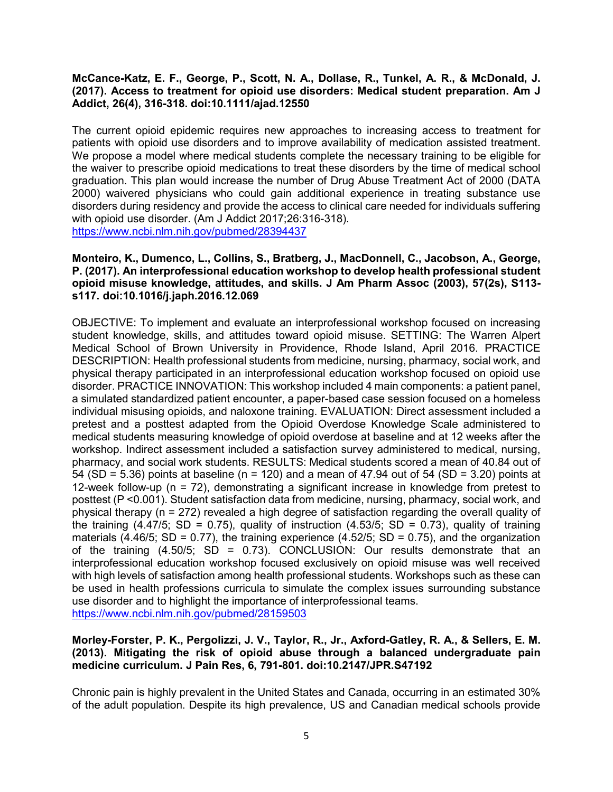## **McCance-Katz, E. F., George, P., Scott, N. A., Dollase, R., Tunkel, A. R., & McDonald, J. (2017). Access to treatment for opioid use disorders: Medical student preparation. Am J Addict, 26(4), 316-318. doi:10.1111/ajad.12550**

The current opioid epidemic requires new approaches to increasing access to treatment for patients with opioid use disorders and to improve availability of medication assisted treatment. We propose a model where medical students complete the necessary training to be eligible for the waiver to prescribe opioid medications to treat these disorders by the time of medical school graduation. This plan would increase the number of Drug Abuse Treatment Act of 2000 (DATA 2000) waivered physicians who could gain additional experience in treating substance use disorders during residency and provide the access to clinical care needed for individuals suffering with opioid use disorder. (Am J Addict 2017;26:316-318). <https://www.ncbi.nlm.nih.gov/pubmed/28394437>

## **Monteiro, K., Dumenco, L., Collins, S., Bratberg, J., MacDonnell, C., Jacobson, A., George, P. (2017). An interprofessional education workshop to develop health professional student opioid misuse knowledge, attitudes, and skills. J Am Pharm Assoc (2003), 57(2s), S113 s117. doi:10.1016/j.japh.2016.12.069**

OBJECTIVE: To implement and evaluate an interprofessional workshop focused on increasing student knowledge, skills, and attitudes toward opioid misuse. SETTING: The Warren Alpert Medical School of Brown University in Providence, Rhode Island, April 2016. PRACTICE DESCRIPTION: Health professional students from medicine, nursing, pharmacy, social work, and physical therapy participated in an interprofessional education workshop focused on opioid use disorder. PRACTICE INNOVATION: This workshop included 4 main components: a patient panel, a simulated standardized patient encounter, a paper-based case session focused on a homeless individual misusing opioids, and naloxone training. EVALUATION: Direct assessment included a pretest and a posttest adapted from the Opioid Overdose Knowledge Scale administered to medical students measuring knowledge of opioid overdose at baseline and at 12 weeks after the workshop. Indirect assessment included a satisfaction survey administered to medical, nursing, pharmacy, and social work students. RESULTS: Medical students scored a mean of 40.84 out of 54 (SD = 5.36) points at baseline (n = 120) and a mean of 47.94 out of 54 (SD = 3.20) points at 12-week follow-up (n = 72), demonstrating a significant increase in knowledge from pretest to posttest (P <0.001). Student satisfaction data from medicine, nursing, pharmacy, social work, and physical therapy (n = 272) revealed a high degree of satisfaction regarding the overall quality of the training  $(4.47/5; SD = 0.75)$ , quality of instruction  $(4.53/5; SD = 0.73)$ , quality of training materials (4.46/5; SD = 0.77), the training experience (4.52/5; SD = 0.75), and the organization of the training  $(4.50/5; SD = 0.73)$ . CONCLUSION: Our results demonstrate that an interprofessional education workshop focused exclusively on opioid misuse was well received with high levels of satisfaction among health professional students. Workshops such as these can be used in health professions curricula to simulate the complex issues surrounding substance use disorder and to highlight the importance of interprofessional teams. <https://www.ncbi.nlm.nih.gov/pubmed/28159503>

#### **Morley-Forster, P. K., Pergolizzi, J. V., Taylor, R., Jr., Axford-Gatley, R. A., & Sellers, E. M. (2013). Mitigating the risk of opioid abuse through a balanced undergraduate pain medicine curriculum. J Pain Res, 6, 791-801. doi:10.2147/JPR.S47192**

Chronic pain is highly prevalent in the United States and Canada, occurring in an estimated 30% of the adult population. Despite its high prevalence, US and Canadian medical schools provide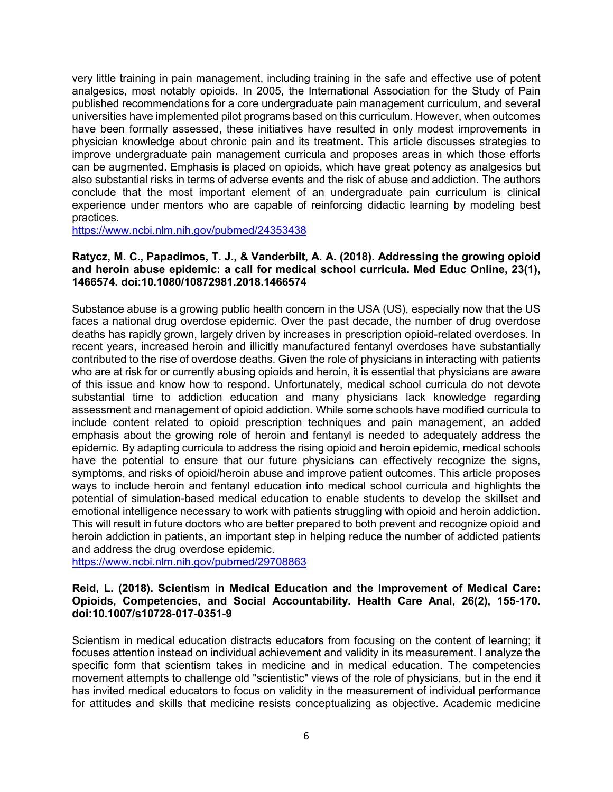very little training in pain management, including training in the safe and effective use of potent analgesics, most notably opioids. In 2005, the International Association for the Study of Pain published recommendations for a core undergraduate pain management curriculum, and several universities have implemented pilot programs based on this curriculum. However, when outcomes have been formally assessed, these initiatives have resulted in only modest improvements in physician knowledge about chronic pain and its treatment. This article discusses strategies to improve undergraduate pain management curricula and proposes areas in which those efforts can be augmented. Emphasis is placed on opioids, which have great potency as analgesics but also substantial risks in terms of adverse events and the risk of abuse and addiction. The authors conclude that the most important element of an undergraduate pain curriculum is clinical experience under mentors who are capable of reinforcing didactic learning by modeling best practices.

<https://www.ncbi.nlm.nih.gov/pubmed/24353438>

#### **Ratycz, M. C., Papadimos, T. J., & Vanderbilt, A. A. (2018). Addressing the growing opioid and heroin abuse epidemic: a call for medical school curricula. Med Educ Online, 23(1), 1466574. doi:10.1080/10872981.2018.1466574**

Substance abuse is a growing public health concern in the USA (US), especially now that the US faces a national drug overdose epidemic. Over the past decade, the number of drug overdose deaths has rapidly grown, largely driven by increases in prescription opioid-related overdoses. In recent years, increased heroin and illicitly manufactured fentanyl overdoses have substantially contributed to the rise of overdose deaths. Given the role of physicians in interacting with patients who are at risk for or currently abusing opioids and heroin, it is essential that physicians are aware of this issue and know how to respond. Unfortunately, medical school curricula do not devote substantial time to addiction education and many physicians lack knowledge regarding assessment and management of opioid addiction. While some schools have modified curricula to include content related to opioid prescription techniques and pain management, an added emphasis about the growing role of heroin and fentanyl is needed to adequately address the epidemic. By adapting curricula to address the rising opioid and heroin epidemic, medical schools have the potential to ensure that our future physicians can effectively recognize the signs, symptoms, and risks of opioid/heroin abuse and improve patient outcomes. This article proposes ways to include heroin and fentanyl education into medical school curricula and highlights the potential of simulation-based medical education to enable students to develop the skillset and emotional intelligence necessary to work with patients struggling with opioid and heroin addiction. This will result in future doctors who are better prepared to both prevent and recognize opioid and heroin addiction in patients, an important step in helping reduce the number of addicted patients and address the drug overdose epidemic.

<https://www.ncbi.nlm.nih.gov/pubmed/29708863>

## **Reid, L. (2018). Scientism in Medical Education and the Improvement of Medical Care: Opioids, Competencies, and Social Accountability. Health Care Anal, 26(2), 155-170. doi:10.1007/s10728-017-0351-9**

Scientism in medical education distracts educators from focusing on the content of learning; it focuses attention instead on individual achievement and validity in its measurement. I analyze the specific form that scientism takes in medicine and in medical education. The competencies movement attempts to challenge old "scientistic" views of the role of physicians, but in the end it has invited medical educators to focus on validity in the measurement of individual performance for attitudes and skills that medicine resists conceptualizing as objective. Academic medicine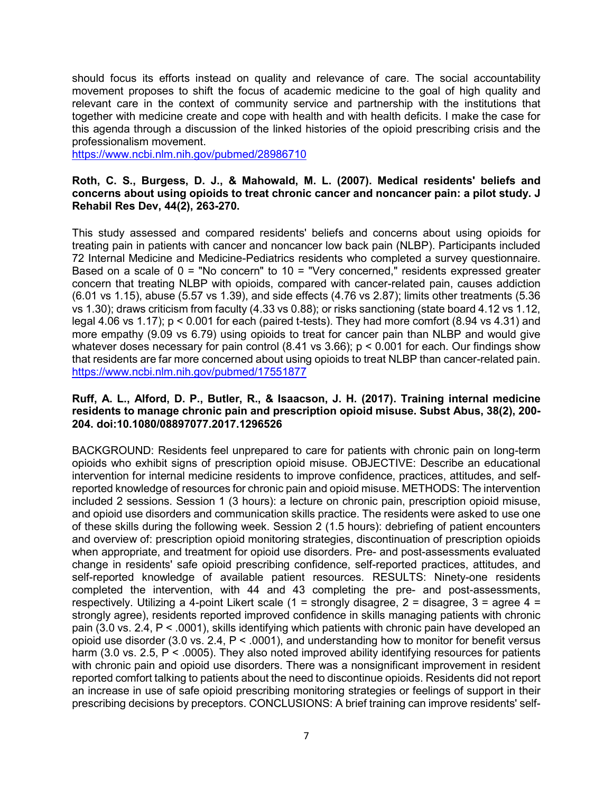should focus its efforts instead on quality and relevance of care. The social accountability movement proposes to shift the focus of academic medicine to the goal of high quality and relevant care in the context of community service and partnership with the institutions that together with medicine create and cope with health and with health deficits. I make the case for this agenda through a discussion of the linked histories of the opioid prescribing crisis and the professionalism movement.

<https://www.ncbi.nlm.nih.gov/pubmed/28986710>

### **Roth, C. S., Burgess, D. J., & Mahowald, M. L. (2007). Medical residents' beliefs and concerns about using opioids to treat chronic cancer and noncancer pain: a pilot study. J Rehabil Res Dev, 44(2), 263-270.**

This study assessed and compared residents' beliefs and concerns about using opioids for treating pain in patients with cancer and noncancer low back pain (NLBP). Participants included 72 Internal Medicine and Medicine-Pediatrics residents who completed a survey questionnaire. Based on a scale of  $0 =$  "No concern" to  $10 =$  "Very concerned," residents expressed greater concern that treating NLBP with opioids, compared with cancer-related pain, causes addiction (6.01 vs 1.15), abuse (5.57 vs 1.39), and side effects (4.76 vs 2.87); limits other treatments (5.36 vs 1.30); draws criticism from faculty (4.33 vs 0.88); or risks sanctioning (state board 4.12 vs 1.12, legal 4.06 vs 1.17); p < 0.001 for each (paired t-tests). They had more comfort (8.94 vs 4.31) and more empathy (9.09 vs 6.79) using opioids to treat for cancer pain than NLBP and would give whatever doses necessary for pain control (8.41 vs 3.66); p < 0.001 for each. Our findings show that residents are far more concerned about using opioids to treat NLBP than cancer-related pain. <https://www.ncbi.nlm.nih.gov/pubmed/17551877>

### **Ruff, A. L., Alford, D. P., Butler, R., & Isaacson, J. H. (2017). Training internal medicine residents to manage chronic pain and prescription opioid misuse. Subst Abus, 38(2), 200- 204. doi:10.1080/08897077.2017.1296526**

BACKGROUND: Residents feel unprepared to care for patients with chronic pain on long-term opioids who exhibit signs of prescription opioid misuse. OBJECTIVE: Describe an educational intervention for internal medicine residents to improve confidence, practices, attitudes, and selfreported knowledge of resources for chronic pain and opioid misuse. METHODS: The intervention included 2 sessions. Session 1 (3 hours): a lecture on chronic pain, prescription opioid misuse, and opioid use disorders and communication skills practice. The residents were asked to use one of these skills during the following week. Session 2 (1.5 hours): debriefing of patient encounters and overview of: prescription opioid monitoring strategies, discontinuation of prescription opioids when appropriate, and treatment for opioid use disorders. Pre- and post-assessments evaluated change in residents' safe opioid prescribing confidence, self-reported practices, attitudes, and self-reported knowledge of available patient resources. RESULTS: Ninety-one residents completed the intervention, with 44 and 43 completing the pre- and post-assessments, respectively. Utilizing a 4-point Likert scale (1 = strongly disagree, 2 = disagree, 3 = agree 4 = strongly agree), residents reported improved confidence in skills managing patients with chronic pain (3.0 vs. 2.4, P < .0001), skills identifying which patients with chronic pain have developed an opioid use disorder (3.0 vs. 2.4, P < .0001), and understanding how to monitor for benefit versus harm (3.0 vs. 2.5,  $P < .0005$ ). They also noted improved ability identifying resources for patients with chronic pain and opioid use disorders. There was a nonsignificant improvement in resident reported comfort talking to patients about the need to discontinue opioids. Residents did not report an increase in use of safe opioid prescribing monitoring strategies or feelings of support in their prescribing decisions by preceptors. CONCLUSIONS: A brief training can improve residents' self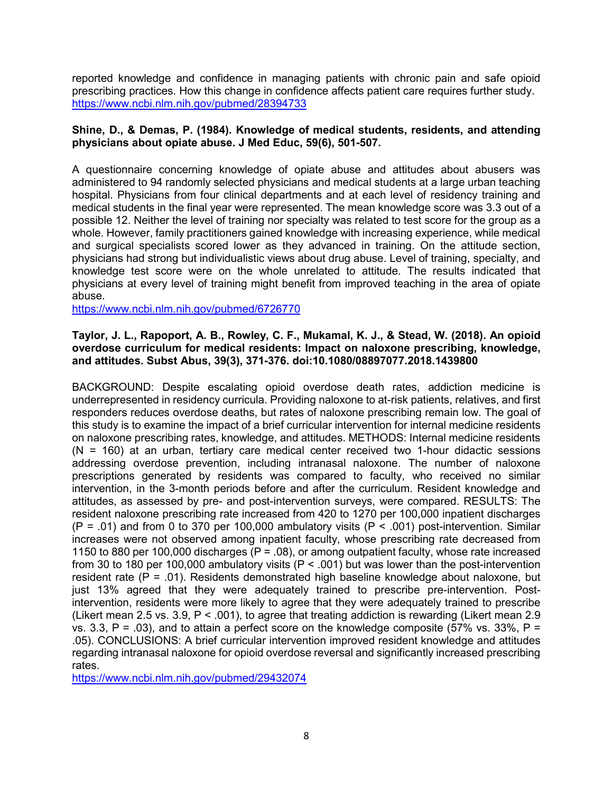reported knowledge and confidence in managing patients with chronic pain and safe opioid prescribing practices. How this change in confidence affects patient care requires further study. <https://www.ncbi.nlm.nih.gov/pubmed/28394733>

## **Shine, D., & Demas, P. (1984). Knowledge of medical students, residents, and attending physicians about opiate abuse. J Med Educ, 59(6), 501-507.**

A questionnaire concerning knowledge of opiate abuse and attitudes about abusers was administered to 94 randomly selected physicians and medical students at a large urban teaching hospital. Physicians from four clinical departments and at each level of residency training and medical students in the final year were represented. The mean knowledge score was 3.3 out of a possible 12. Neither the level of training nor specialty was related to test score for the group as a whole. However, family practitioners gained knowledge with increasing experience, while medical and surgical specialists scored lower as they advanced in training. On the attitude section, physicians had strong but individualistic views about drug abuse. Level of training, specialty, and knowledge test score were on the whole unrelated to attitude. The results indicated that physicians at every level of training might benefit from improved teaching in the area of opiate abuse.

<https://www.ncbi.nlm.nih.gov/pubmed/6726770>

### **Taylor, J. L., Rapoport, A. B., Rowley, C. F., Mukamal, K. J., & Stead, W. (2018). An opioid overdose curriculum for medical residents: Impact on naloxone prescribing, knowledge, and attitudes. Subst Abus, 39(3), 371-376. doi:10.1080/08897077.2018.1439800**

BACKGROUND: Despite escalating opioid overdose death rates, addiction medicine is underrepresented in residency curricula. Providing naloxone to at-risk patients, relatives, and first responders reduces overdose deaths, but rates of naloxone prescribing remain low. The goal of this study is to examine the impact of a brief curricular intervention for internal medicine residents on naloxone prescribing rates, knowledge, and attitudes. METHODS: Internal medicine residents  $(N = 160)$  at an urban, tertiary care medical center received two 1-hour didactic sessions addressing overdose prevention, including intranasal naloxone. The number of naloxone prescriptions generated by residents was compared to faculty, who received no similar intervention, in the 3-month periods before and after the curriculum. Resident knowledge and attitudes, as assessed by pre- and post-intervention surveys, were compared. RESULTS: The resident naloxone prescribing rate increased from 420 to 1270 per 100,000 inpatient discharges  $(P = .01)$  and from 0 to 370 per 100,000 ambulatory visits  $(P < .001)$  post-intervention. Similar increases were not observed among inpatient faculty, whose prescribing rate decreased from 1150 to 880 per 100,000 discharges ( $P = .08$ ), or among outpatient faculty, whose rate increased from 30 to 180 per 100,000 ambulatory visits (P < .001) but was lower than the post-intervention resident rate ( $P = .01$ ). Residents demonstrated high baseline knowledge about naloxone, but just 13% agreed that they were adequately trained to prescribe pre-intervention. Postintervention, residents were more likely to agree that they were adequately trained to prescribe (Likert mean 2.5 vs. 3.9, P < .001), to agree that treating addiction is rewarding (Likert mean 2.9 vs. 3.3,  $P = .03$ ), and to attain a perfect score on the knowledge composite (57% vs. 33%,  $P =$ .05). CONCLUSIONS: A brief curricular intervention improved resident knowledge and attitudes regarding intranasal naloxone for opioid overdose reversal and significantly increased prescribing rates.

<https://www.ncbi.nlm.nih.gov/pubmed/29432074>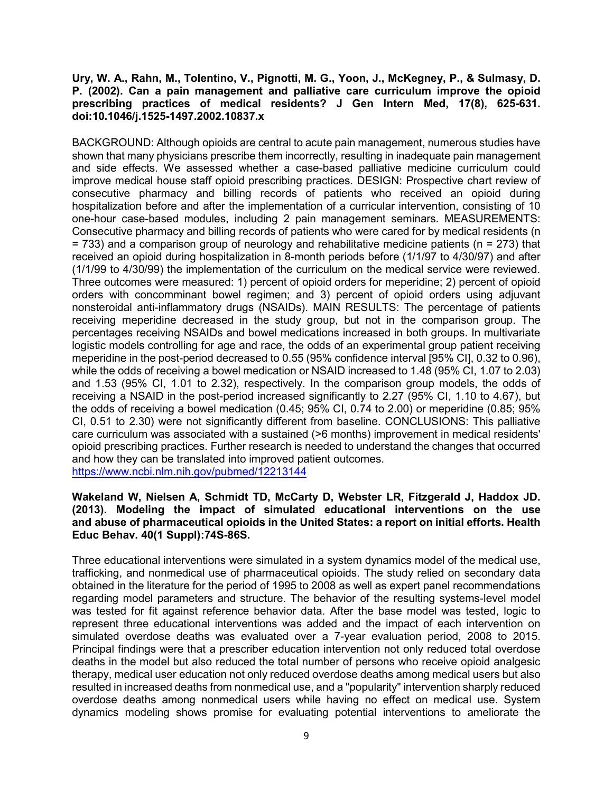## **Ury, W. A., Rahn, M., Tolentino, V., Pignotti, M. G., Yoon, J., McKegney, P., & Sulmasy, D. P. (2002). Can a pain management and palliative care curriculum improve the opioid prescribing practices of medical residents? J Gen Intern Med, 17(8), 625-631. doi:10.1046/j.1525-1497.2002.10837.x**

BACKGROUND: Although opioids are central to acute pain management, numerous studies have shown that many physicians prescribe them incorrectly, resulting in inadequate pain management and side effects. We assessed whether a case-based palliative medicine curriculum could improve medical house staff opioid prescribing practices. DESIGN: Prospective chart review of consecutive pharmacy and billing records of patients who received an opioid during hospitalization before and after the implementation of a curricular intervention, consisting of 10 one-hour case-based modules, including 2 pain management seminars. MEASUREMENTS: Consecutive pharmacy and billing records of patients who were cared for by medical residents (n  $= 733$ ) and a comparison group of neurology and rehabilitative medicine patients (n  $= 273$ ) that received an opioid during hospitalization in 8-month periods before (1/1/97 to 4/30/97) and after (1/1/99 to 4/30/99) the implementation of the curriculum on the medical service were reviewed. Three outcomes were measured: 1) percent of opioid orders for meperidine; 2) percent of opioid orders with concomminant bowel regimen; and 3) percent of opioid orders using adjuvant nonsteroidal anti-inflammatory drugs (NSAIDs). MAIN RESULTS: The percentage of patients receiving meperidine decreased in the study group, but not in the comparison group. The percentages receiving NSAIDs and bowel medications increased in both groups. In multivariate logistic models controlling for age and race, the odds of an experimental group patient receiving meperidine in the post-period decreased to 0.55 (95% confidence interval [95% CI], 0.32 to 0.96), while the odds of receiving a bowel medication or NSAID increased to 1.48 (95% CI, 1.07 to 2.03) and 1.53 (95% CI, 1.01 to 2.32), respectively. In the comparison group models, the odds of receiving a NSAID in the post-period increased significantly to 2.27 (95% CI, 1.10 to 4.67), but the odds of receiving a bowel medication (0.45; 95% CI, 0.74 to 2.00) or meperidine (0.85; 95% CI, 0.51 to 2.30) were not significantly different from baseline. CONCLUSIONS: This palliative care curriculum was associated with a sustained (>6 months) improvement in medical residents' opioid prescribing practices. Further research is needed to understand the changes that occurred and how they can be translated into improved patient outcomes. <https://www.ncbi.nlm.nih.gov/pubmed/12213144>

#### **Wakeland W, Nielsen A, Schmidt TD, McCarty D, Webster LR, Fitzgerald J, Haddox JD. (2013). Modeling the impact of simulated educational interventions on the use and abuse of pharmaceutical opioids in the United States: a report on initial efforts. Health Educ Behav. 40(1 Suppl):74S-86S.**

Three educational interventions were simulated in a system dynamics model of the medical use, trafficking, and nonmedical use of pharmaceutical opioids. The study relied on secondary data obtained in the literature for the period of 1995 to 2008 as well as expert panel recommendations regarding model parameters and structure. The behavior of the resulting systems-level model was tested for fit against reference behavior data. After the base model was tested, logic to represent three educational interventions was added and the impact of each intervention on simulated overdose deaths was evaluated over a 7-year evaluation period, 2008 to 2015. Principal findings were that a prescriber education intervention not only reduced total overdose deaths in the model but also reduced the total number of persons who receive opioid analgesic therapy, medical user education not only reduced overdose deaths among medical users but also resulted in increased deaths from nonmedical use, and a "popularity" intervention sharply reduced overdose deaths among nonmedical users while having no effect on medical use. System dynamics modeling shows promise for evaluating potential interventions to ameliorate the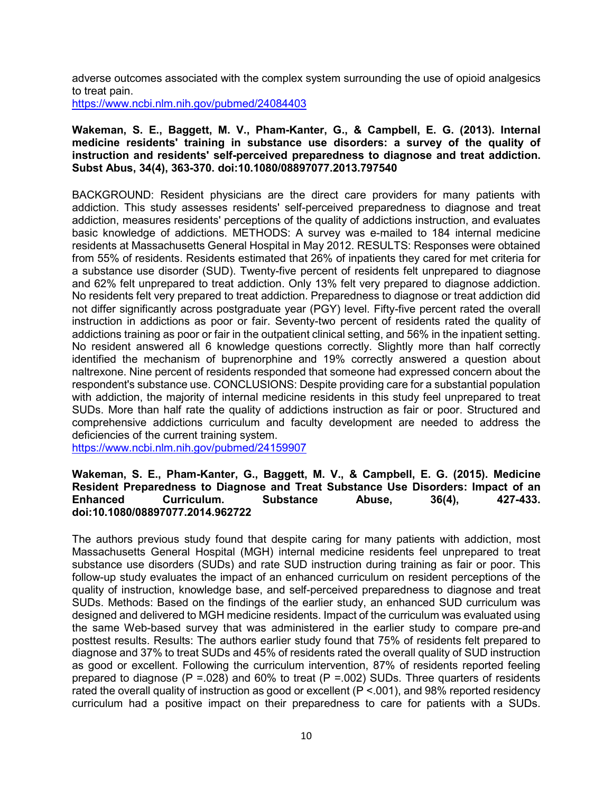adverse outcomes associated with the complex system surrounding the use of opioid analgesics to treat pain.

<https://www.ncbi.nlm.nih.gov/pubmed/24084403>

#### **Wakeman, S. E., Baggett, M. V., Pham-Kanter, G., & Campbell, E. G. (2013). Internal medicine residents' training in substance use disorders: a survey of the quality of instruction and residents' self-perceived preparedness to diagnose and treat addiction. Subst Abus, 34(4), 363-370. doi:10.1080/08897077.2013.797540**

BACKGROUND: Resident physicians are the direct care providers for many patients with addiction. This study assesses residents' self-perceived preparedness to diagnose and treat addiction, measures residents' perceptions of the quality of addictions instruction, and evaluates basic knowledge of addictions. METHODS: A survey was e-mailed to 184 internal medicine residents at Massachusetts General Hospital in May 2012. RESULTS: Responses were obtained from 55% of residents. Residents estimated that 26% of inpatients they cared for met criteria for a substance use disorder (SUD). Twenty-five percent of residents felt unprepared to diagnose and 62% felt unprepared to treat addiction. Only 13% felt very prepared to diagnose addiction. No residents felt very prepared to treat addiction. Preparedness to diagnose or treat addiction did not differ significantly across postgraduate year (PGY) level. Fifty-five percent rated the overall instruction in addictions as poor or fair. Seventy-two percent of residents rated the quality of addictions training as poor or fair in the outpatient clinical setting, and 56% in the inpatient setting. No resident answered all 6 knowledge questions correctly. Slightly more than half correctly identified the mechanism of buprenorphine and 19% correctly answered a question about naltrexone. Nine percent of residents responded that someone had expressed concern about the respondent's substance use. CONCLUSIONS: Despite providing care for a substantial population with addiction, the majority of internal medicine residents in this study feel unprepared to treat SUDs. More than half rate the quality of addictions instruction as fair or poor. Structured and comprehensive addictions curriculum and faculty development are needed to address the deficiencies of the current training system.

<https://www.ncbi.nlm.nih.gov/pubmed/24159907>

#### **Wakeman, S. E., Pham-Kanter, G., Baggett, M. V., & Campbell, E. G. (2015). Medicine Resident Preparedness to Diagnose and Treat Substance Use Disorders: Impact of an Enhanced Curriculum. Substance Abuse, 36(4), 427-433. doi:10.1080/08897077.2014.962722**

The authors previous study found that despite caring for many patients with addiction, most Massachusetts General Hospital (MGH) internal medicine residents feel unprepared to treat substance use disorders (SUDs) and rate SUD instruction during training as fair or poor. This follow-up study evaluates the impact of an enhanced curriculum on resident perceptions of the quality of instruction, knowledge base, and self-perceived preparedness to diagnose and treat SUDs. Methods: Based on the findings of the earlier study, an enhanced SUD curriculum was designed and delivered to MGH medicine residents. Impact of the curriculum was evaluated using the same Web-based survey that was administered in the earlier study to compare pre-and posttest results. Results: The authors earlier study found that 75% of residents felt prepared to diagnose and 37% to treat SUDs and 45% of residents rated the overall quality of SUD instruction as good or excellent. Following the curriculum intervention, 87% of residents reported feeling prepared to diagnose (P = 0.028) and 60% to treat (P = 0.02) SUDs. Three quarters of residents rated the overall quality of instruction as good or excellent (P <.001), and 98% reported residency curriculum had a positive impact on their preparedness to care for patients with a SUDs.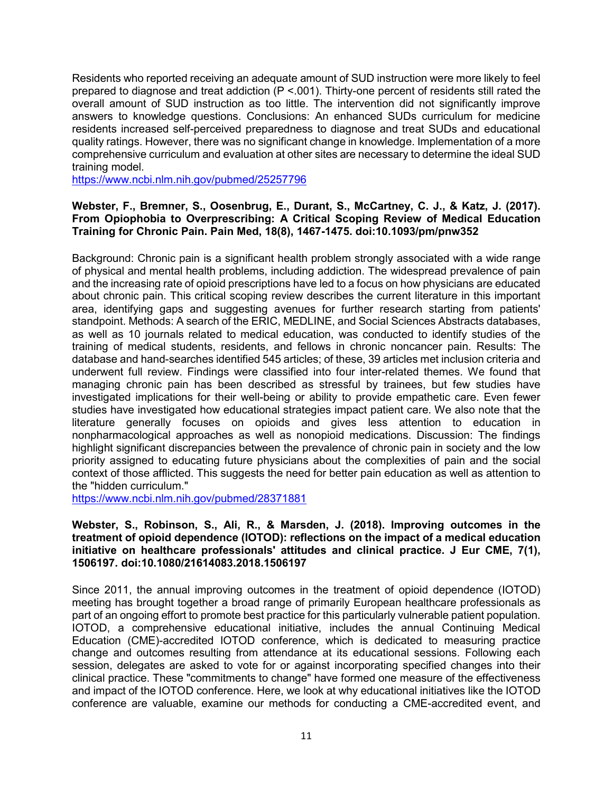Residents who reported receiving an adequate amount of SUD instruction were more likely to feel prepared to diagnose and treat addiction (P <.001). Thirty-one percent of residents still rated the overall amount of SUD instruction as too little. The intervention did not significantly improve answers to knowledge questions. Conclusions: An enhanced SUDs curriculum for medicine residents increased self-perceived preparedness to diagnose and treat SUDs and educational quality ratings. However, there was no significant change in knowledge. Implementation of a more comprehensive curriculum and evaluation at other sites are necessary to determine the ideal SUD training model.

<https://www.ncbi.nlm.nih.gov/pubmed/25257796>

## **Webster, F., Bremner, S., Oosenbrug, E., Durant, S., McCartney, C. J., & Katz, J. (2017). From Opiophobia to Overprescribing: A Critical Scoping Review of Medical Education Training for Chronic Pain. Pain Med, 18(8), 1467-1475. doi:10.1093/pm/pnw352**

Background: Chronic pain is a significant health problem strongly associated with a wide range of physical and mental health problems, including addiction. The widespread prevalence of pain and the increasing rate of opioid prescriptions have led to a focus on how physicians are educated about chronic pain. This critical scoping review describes the current literature in this important area, identifying gaps and suggesting avenues for further research starting from patients' standpoint. Methods: A search of the ERIC, MEDLINE, and Social Sciences Abstracts databases, as well as 10 journals related to medical education, was conducted to identify studies of the training of medical students, residents, and fellows in chronic noncancer pain. Results: The database and hand-searches identified 545 articles; of these, 39 articles met inclusion criteria and underwent full review. Findings were classified into four inter-related themes. We found that managing chronic pain has been described as stressful by trainees, but few studies have investigated implications for their well-being or ability to provide empathetic care. Even fewer studies have investigated how educational strategies impact patient care. We also note that the literature generally focuses on opioids and gives less attention to education in nonpharmacological approaches as well as nonopioid medications. Discussion: The findings highlight significant discrepancies between the prevalence of chronic pain in society and the low priority assigned to educating future physicians about the complexities of pain and the social context of those afflicted. This suggests the need for better pain education as well as attention to the "hidden curriculum."

<https://www.ncbi.nlm.nih.gov/pubmed/28371881>

## **Webster, S., Robinson, S., Ali, R., & Marsden, J. (2018). Improving outcomes in the treatment of opioid dependence (IOTOD): reflections on the impact of a medical education initiative on healthcare professionals' attitudes and clinical practice. J Eur CME, 7(1), 1506197. doi:10.1080/21614083.2018.1506197**

Since 2011, the annual improving outcomes in the treatment of opioid dependence (IOTOD) meeting has brought together a broad range of primarily European healthcare professionals as part of an ongoing effort to promote best practice for this particularly vulnerable patient population. IOTOD, a comprehensive educational initiative, includes the annual Continuing Medical Education (CME)-accredited IOTOD conference, which is dedicated to measuring practice change and outcomes resulting from attendance at its educational sessions. Following each session, delegates are asked to vote for or against incorporating specified changes into their clinical practice. These "commitments to change" have formed one measure of the effectiveness and impact of the IOTOD conference. Here, we look at why educational initiatives like the IOTOD conference are valuable, examine our methods for conducting a CME-accredited event, and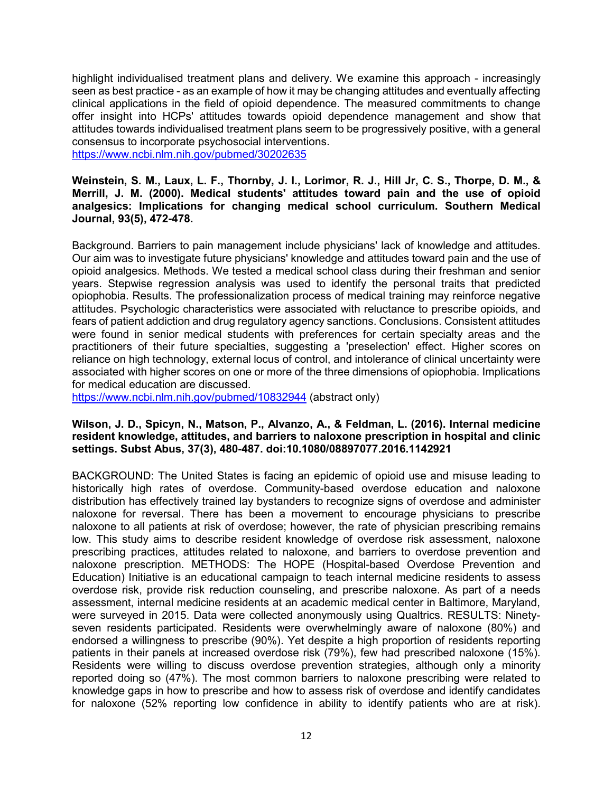highlight individualised treatment plans and delivery. We examine this approach - increasingly seen as best practice - as an example of how it may be changing attitudes and eventually affecting clinical applications in the field of opioid dependence. The measured commitments to change offer insight into HCPs' attitudes towards opioid dependence management and show that attitudes towards individualised treatment plans seem to be progressively positive, with a general consensus to incorporate psychosocial interventions.

<https://www.ncbi.nlm.nih.gov/pubmed/30202635>

## **Weinstein, S. M., Laux, L. F., Thornby, J. I., Lorimor, R. J., Hill Jr, C. S., Thorpe, D. M., & Merrill, J. M. (2000). Medical students' attitudes toward pain and the use of opioid analgesics: Implications for changing medical school curriculum. Southern Medical Journal, 93(5), 472-478.**

Background. Barriers to pain management include physicians' lack of knowledge and attitudes. Our aim was to investigate future physicians' knowledge and attitudes toward pain and the use of opioid analgesics. Methods. We tested a medical school class during their freshman and senior years. Stepwise regression analysis was used to identify the personal traits that predicted opiophobia. Results. The professionalization process of medical training may reinforce negative attitudes. Psychologic characteristics were associated with reluctance to prescribe opioids, and fears of patient addiction and drug regulatory agency sanctions. Conclusions. Consistent attitudes were found in senior medical students with preferences for certain specialty areas and the practitioners of their future specialties, suggesting a 'preselection' effect. Higher scores on reliance on high technology, external locus of control, and intolerance of clinical uncertainty were associated with higher scores on one or more of the three dimensions of opiophobia. Implications for medical education are discussed.

<https://www.ncbi.nlm.nih.gov/pubmed/10832944> (abstract only)

## **Wilson, J. D., Spicyn, N., Matson, P., Alvanzo, A., & Feldman, L. (2016). Internal medicine resident knowledge, attitudes, and barriers to naloxone prescription in hospital and clinic settings. Subst Abus, 37(3), 480-487. doi:10.1080/08897077.2016.1142921**

BACKGROUND: The United States is facing an epidemic of opioid use and misuse leading to historically high rates of overdose. Community-based overdose education and naloxone distribution has effectively trained lay bystanders to recognize signs of overdose and administer naloxone for reversal. There has been a movement to encourage physicians to prescribe naloxone to all patients at risk of overdose; however, the rate of physician prescribing remains low. This study aims to describe resident knowledge of overdose risk assessment, naloxone prescribing practices, attitudes related to naloxone, and barriers to overdose prevention and naloxone prescription. METHODS: The HOPE (Hospital-based Overdose Prevention and Education) Initiative is an educational campaign to teach internal medicine residents to assess overdose risk, provide risk reduction counseling, and prescribe naloxone. As part of a needs assessment, internal medicine residents at an academic medical center in Baltimore, Maryland, were surveyed in 2015. Data were collected anonymously using Qualtrics. RESULTS: Ninetyseven residents participated. Residents were overwhelmingly aware of naloxone (80%) and endorsed a willingness to prescribe (90%). Yet despite a high proportion of residents reporting patients in their panels at increased overdose risk (79%), few had prescribed naloxone (15%). Residents were willing to discuss overdose prevention strategies, although only a minority reported doing so (47%). The most common barriers to naloxone prescribing were related to knowledge gaps in how to prescribe and how to assess risk of overdose and identify candidates for naloxone (52% reporting low confidence in ability to identify patients who are at risk).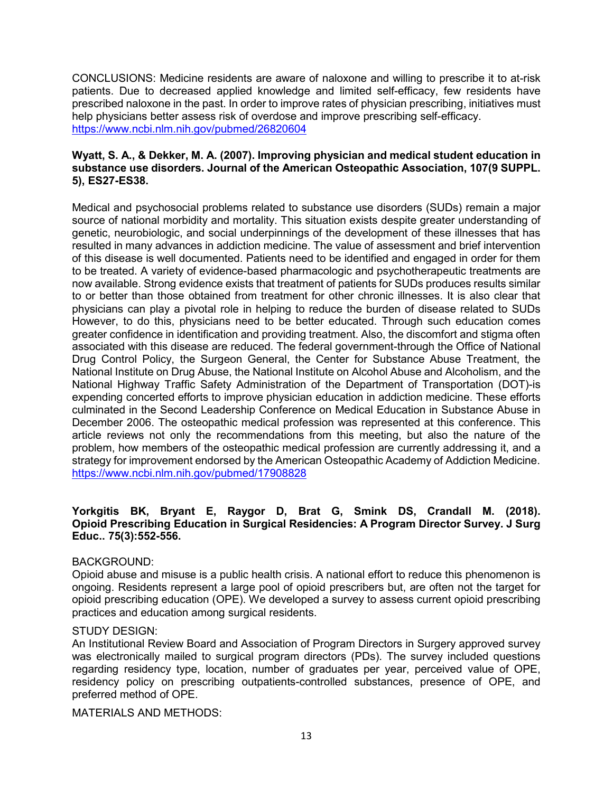CONCLUSIONS: Medicine residents are aware of naloxone and willing to prescribe it to at-risk patients. Due to decreased applied knowledge and limited self-efficacy, few residents have prescribed naloxone in the past. In order to improve rates of physician prescribing, initiatives must help physicians better assess risk of overdose and improve prescribing self-efficacy. <https://www.ncbi.nlm.nih.gov/pubmed/26820604>

## **Wyatt, S. A., & Dekker, M. A. (2007). Improving physician and medical student education in substance use disorders. Journal of the American Osteopathic Association, 107(9 SUPPL. 5), ES27-ES38.**

Medical and psychosocial problems related to substance use disorders (SUDs) remain a major source of national morbidity and mortality. This situation exists despite greater understanding of genetic, neurobiologic, and social underpinnings of the development of these illnesses that has resulted in many advances in addiction medicine. The value of assessment and brief intervention of this disease is well documented. Patients need to be identified and engaged in order for them to be treated. A variety of evidence-based pharmacologic and psychotherapeutic treatments are now available. Strong evidence exists that treatment of patients for SUDs produces results similar to or better than those obtained from treatment for other chronic illnesses. It is also clear that physicians can play a pivotal role in helping to reduce the burden of disease related to SUDs However, to do this, physicians need to be better educated. Through such education comes greater confidence in identification and providing treatment. Also, the discomfort and stigma often associated with this disease are reduced. The federal government-through the Office of National Drug Control Policy, the Surgeon General, the Center for Substance Abuse Treatment, the National Institute on Drug Abuse, the National Institute on Alcohol Abuse and Alcoholism, and the National Highway Traffic Safety Administration of the Department of Transportation (DOT)-is expending concerted efforts to improve physician education in addiction medicine. These efforts culminated in the Second Leadership Conference on Medical Education in Substance Abuse in December 2006. The osteopathic medical profession was represented at this conference. This article reviews not only the recommendations from this meeting, but also the nature of the problem, how members of the osteopathic medical profession are currently addressing it, and a strategy for improvement endorsed by the American Osteopathic Academy of Addiction Medicine. <https://www.ncbi.nlm.nih.gov/pubmed/17908828>

# **Yorkgitis BK, Bryant E, Raygor D, Brat G, Smink DS, Crandall M. (2018). Opioid Prescribing Education in Surgical Residencies: A Program Director Survey. J Surg Educ.. 75(3):552-556.**

# BACKGROUND:

Opioid abuse and misuse is a public health crisis. A national effort to reduce this phenomenon is ongoing. Residents represent a large pool of opioid prescribers but, are often not the target for opioid prescribing education (OPE). We developed a survey to assess current opioid prescribing practices and education among surgical residents.

# STUDY DESIGN:

An Institutional Review Board and Association of Program Directors in Surgery approved survey was electronically mailed to surgical program directors (PDs). The survey included questions regarding residency type, location, number of graduates per year, perceived value of OPE, residency policy on prescribing outpatients-controlled substances, presence of OPE, and preferred method of OPE.

MATERIALS AND METHODS: